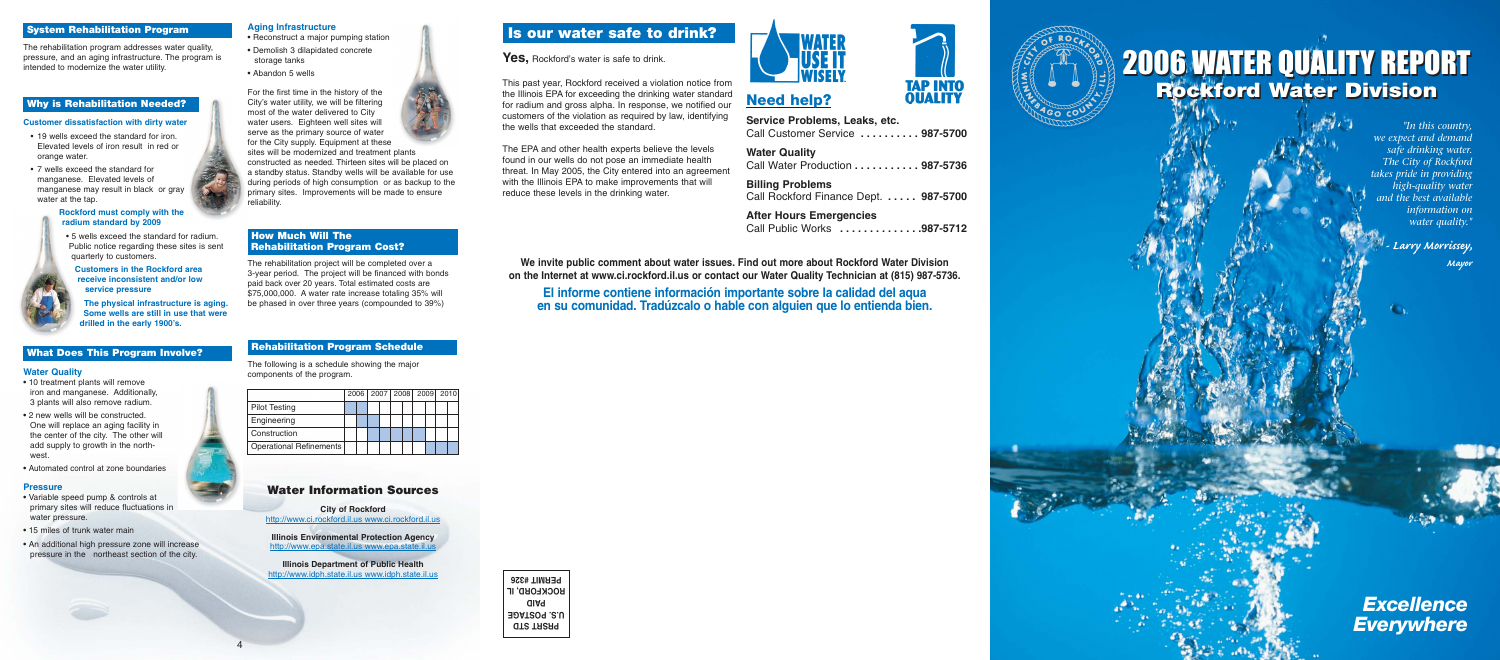# **Aging Infrastructure**

- Reconstruct a major pumping station **•** Demolish 3 dilapidated concrete storage tanks
- Abandon 5 wells

constructed as needed. Thirteen sites will be placed on a standby status. Standby wells will be available for use during periods of high consumption or as backup to the primary sites. Improvements will be made to ensure eliability.

For the first time in the history of the City's water utility, we will be filtering most of the water delivered to City water users. Eighteen well sites will serve as the primary source of water for the City supply. Equipment at these sites will be modernized and treatment plants

# **How Much Will The .Rehabilitation Program Cost?**

The rehabilitation project will be completed over a 3-year period. The project will be financed with bonds paid back over 20 years. Total estimated costs are \$75,000,000. A water rate increase totaling 35% will be phased in over three years (compounded to 39%)

# **Rehabilitation Program Schedule**

The following is a schedule showing the major components of the program.

# **Is our water safe to drink?**

**Yes,** Rockford's water is safe to drink.

This past year, Rockford received a violation notice from the Illinois EPA for exceeding the drinking water standard for radium and gross alpha. In response, we notified our customers of the violation as required by law, identifying the wells that exceeded the standard.

**Illinois Environmental Protection Agency** http://www.epa.state.il.us www.epa.state.

The EPA and other health experts believe the levels found in our wells do not pose an immediate health threat. In May 2005, the City entered into an agreement with the Illinois EPA to make improvements that will reduce these levels in the drinking water.

**We invite public comment about water issues. Find out more about Rockford Water Division on the Internet at www.ci.rockford.il.us or contact our Water Quality Technician at (815) 987-5736.**

# **El informe contiene información importante sobre la calidad del aqua en su comunidad. Tradúzcalo o hable con alguien que lo entienda bien.**

**PRSRT STD U.S. POSTAGE PAID ROCKFORD, IL PERMIT #326**



# **Need help?**

**Service Problems, Leaks, etc.** Call Customer Service **. . . . . . . . . . 987-5700**

**Water Quality** Call Water Production **. . . . . . . . . . . 987-5736**

**Billing Problems** Call Rockford Finance Dept. **. . . . . 987-5700**

**After Hours Emergencies** Call Public Works **. . . . . . . . . . . . . .987-5712**

4





|                         |  | 2006   2007   2008   2009   2010 |  |  |  |  |
|-------------------------|--|----------------------------------|--|--|--|--|
| <b>Pilot Testing</b>    |  |                                  |  |  |  |  |
| Engineering             |  |                                  |  |  |  |  |
| Construction            |  |                                  |  |  |  |  |
| Operational Refinements |  |                                  |  |  |  |  |

# **Water Information Sources**

**City of Rockford** http://www.ci.rockford.il.us www.ci.rockford.il.us

**Illinois Department of Public Health** http://www.idph.state.il.us www.idph.state.il.us



# *Excellence Everywhere*

*"In this country, we expect and demand safe drinking water. The City of Rockford takes pride in providing high-quality water and the best available information on water quality."*

> *- Larry Morrissey, Mayor*



# **System Rehabilitation Program**

The rehabilitation program addresses water quality, pressure, and an aging infrastructure. The program is intended to modernize the water utility.

# **Why is Rehabilitation Needed?**

### **Customer dissatisfaction with dirty water**

- 19 wells exceed the standard for iron. Elevated levels of iron result in red or orange water.
- 7 wells exceed the standard for manganese. Elevated levels of manganese may result in black or gray water at the tap.

### **Rockford must comply with the radium standard by 2009**

• 5 wells exceed the standard for radium. Public notice regarding these sites is sent quarterly to customers.

**Customers in the Rockford area .. receive inconsistent and/or low ..service pressure**

**The physical infrastructure is aging. Some wells are still in use that were drilled in the early 1900's.**

# **What Does This Program Involve?**

### **Water Quality**

- 10 treatment plants will remove iron and manganese. Additionally, 3 plants will also remove radium.
- 2 new wells will be constructed. One will replace an aging facility in the center of the city. The other will add supply to growth in the northwest.
- Automated control at zone boundaries

### **Pressure**

- Variable speed pump & controls at primary sites will reduce fluctuations in water pressure.
- 15 miles of trunk water main
- An additional high pressure zone will increase pressure in the northeast section of the city.